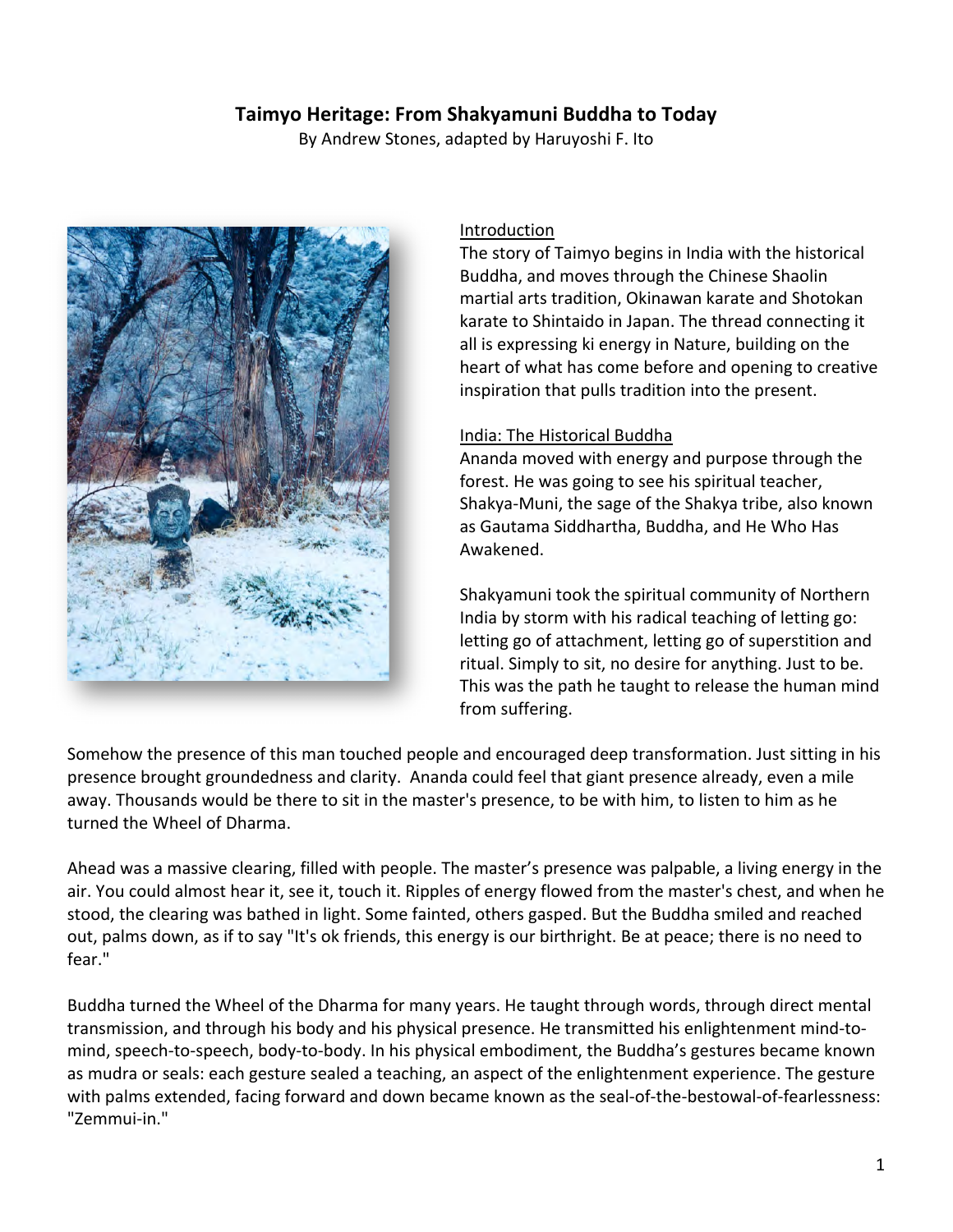# **Taimyo Heritage: From Shakyamuni Buddha to Today**

By Andrew Stones, adapted by Haruyoshi F. Ito



#### Introduction

The story of Taimyo begins in India with the historical Buddha, and moves through the Chinese Shaolin martial arts tradition, Okinawan karate and Shotokan karate to Shintaido in Japan. The thread connecting it all is expressing ki energy in Nature, building on the heart of what has come before and opening to creative inspiration that pulls tradition into the present.

#### India: The Historical Buddha

Ananda moved with energy and purpose through the forest. He was going to see his spiritual teacher, Shakya-Muni, the sage of the Shakya tribe, also known as Gautama Siddhartha, Buddha, and He Who Has Awakened.

Shakyamuni took the spiritual community of Northern India by storm with his radical teaching of letting go: letting go of attachment, letting go of superstition and ritual. Simply to sit, no desire for anything. Just to be. This was the path he taught to release the human mind from suffering.

Somehow the presence of this man touched people and encouraged deep transformation. Just sitting in his presence brought groundedness and clarity. Ananda could feel that giant presence already, even a mile away. Thousands would be there to sit in the master's presence, to be with him, to listen to him as he turned the Wheel of Dharma.

Ahead was a massive clearing, filled with people. The master's presence was palpable, a living energy in the air. You could almost hear it, see it, touch it. Ripples of energy flowed from the master's chest, and when he stood, the clearing was bathed in light. Some fainted, others gasped. But the Buddha smiled and reached out, palms down, as if to say "It's ok friends, this energy is our birthright. Be at peace; there is no need to fear."

Buddha turned the Wheel of the Dharma for many years. He taught through words, through direct mental transmission, and through his body and his physical presence. He transmitted his enlightenment mind-tomind, speech-to-speech, body-to-body. In his physical embodiment, the Buddha's gestures became known as mudra or seals: each gesture sealed a teaching, an aspect of the enlightenment experience. The gesture with palms extended, facing forward and down became known as the seal-of-the-bestowal-of-fearlessness: "Zemmui-in."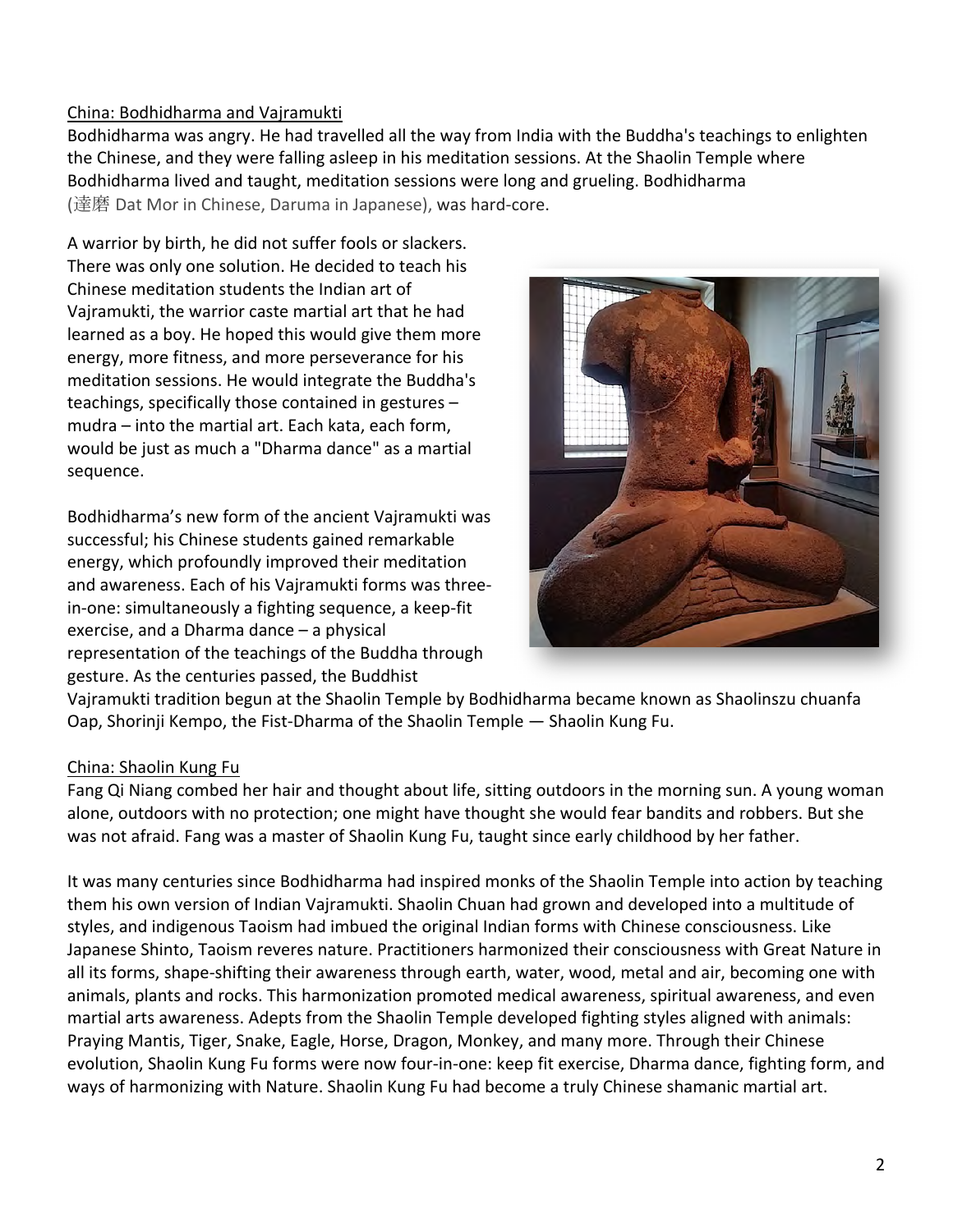## China: Bodhidharma and Vajramukti

Bodhidharma was angry. He had travelled all the way from India with the Buddha's teachings to enlighten the Chinese, and they were falling asleep in his meditation sessions. At the Shaolin Temple where Bodhidharma lived and taught, meditation sessions were long and grueling. Bodhidharma (達磨 Dat Mor in Chinese, Daruma in Japanese), was hard-core.

A warrior by birth, he did not suffer fools or slackers. There was only one solution. He decided to teach his Chinese meditation students the Indian art of Vairamukti, the warrior caste martial art that he had learned as a boy. He hoped this would give them more energy, more fitness, and more perseverance for his meditation sessions. He would integrate the Buddha's teachings, specifically those contained in gestures mudra  $-$  into the martial art. Each kata, each form, would be just as much a "Dharma dance" as a martial sequence. 

Bodhidharma's new form of the ancient Vajramukti was successful; his Chinese students gained remarkable energy, which profoundly improved their meditation and awareness. Each of his Vajramukti forms was threein-one: simultaneously a fighting sequence, a keep-fit exercise, and a Dharma dance  $-$  a physical representation of the teachings of the Buddha through gesture. As the centuries passed, the Buddhist



Vajramukti tradition begun at the Shaolin Temple by Bodhidharma became known as Shaolinszu chuanfa Oap, Shorinji Kempo, the Fist-Dharma of the Shaolin Temple — Shaolin Kung Fu.

### China: Shaolin Kung Fu

Fang Qi Niang combed her hair and thought about life, sitting outdoors in the morning sun. A young woman alone, outdoors with no protection; one might have thought she would fear bandits and robbers. But she was not afraid. Fang was a master of Shaolin Kung Fu, taught since early childhood by her father.

It was many centuries since Bodhidharma had inspired monks of the Shaolin Temple into action by teaching them his own version of Indian Vajramukti. Shaolin Chuan had grown and developed into a multitude of styles, and indigenous Taoism had imbued the original Indian forms with Chinese consciousness. Like Japanese Shinto, Taoism reveres nature. Practitioners harmonized their consciousness with Great Nature in all its forms, shape-shifting their awareness through earth, water, wood, metal and air, becoming one with animals, plants and rocks. This harmonization promoted medical awareness, spiritual awareness, and even martial arts awareness. Adepts from the Shaolin Temple developed fighting styles aligned with animals: Praying Mantis, Tiger, Snake, Eagle, Horse, Dragon, Monkey, and many more. Through their Chinese evolution, Shaolin Kung Fu forms were now four-in-one: keep fit exercise, Dharma dance, fighting form, and ways of harmonizing with Nature. Shaolin Kung Fu had become a truly Chinese shamanic martial art.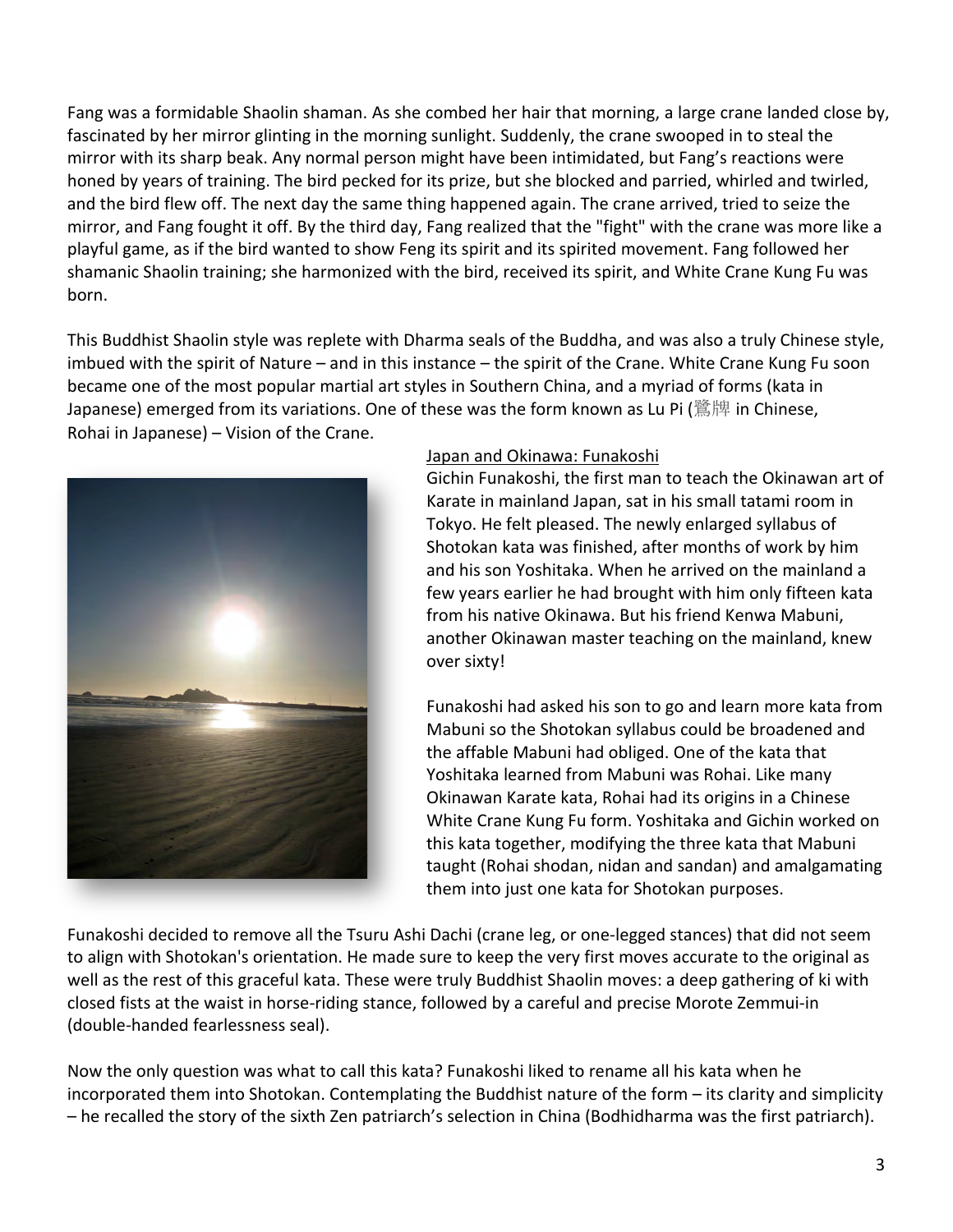Fang was a formidable Shaolin shaman. As she combed her hair that morning, a large crane landed close by, fascinated by her mirror glinting in the morning sunlight. Suddenly, the crane swooped in to steal the mirror with its sharp beak. Any normal person might have been intimidated, but Fang's reactions were honed by years of training. The bird pecked for its prize, but she blocked and parried, whirled and twirled, and the bird flew off. The next day the same thing happened again. The crane arrived, tried to seize the mirror, and Fang fought it off. By the third day, Fang realized that the "fight" with the crane was more like a playful game, as if the bird wanted to show Feng its spirit and its spirited movement. Fang followed her shamanic Shaolin training; she harmonized with the bird, received its spirit, and White Crane Kung Fu was born. 

This Buddhist Shaolin style was replete with Dharma seals of the Buddha, and was also a truly Chinese style, imbued with the spirit of Nature – and in this instance – the spirit of the Crane. White Crane Kung Fu soon became one of the most popular martial art styles in Southern China, and a myriad of forms (kata in Japanese) emerged from its variations. One of these was the form known as Lu Pi (鷺牌 in Chinese, Rohai in Japanese) - Vision of the Crane.



### Japan and Okinawa: Funakoshi

Gichin Funakoshi, the first man to teach the Okinawan art of Karate in mainland Japan, sat in his small tatami room in Tokyo. He felt pleased. The newly enlarged syllabus of Shotokan kata was finished, after months of work by him and his son Yoshitaka. When he arrived on the mainland a few years earlier he had brought with him only fifteen kata from his native Okinawa. But his friend Kenwa Mabuni, another Okinawan master teaching on the mainland, knew over sixty!

Funakoshi had asked his son to go and learn more kata from Mabuni so the Shotokan syllabus could be broadened and the affable Mabuni had obliged. One of the kata that Yoshitaka learned from Mabuni was Rohai. Like many Okinawan Karate kata, Rohai had its origins in a Chinese White Crane Kung Fu form. Yoshitaka and Gichin worked on this kata together, modifying the three kata that Mabuni taught (Rohai shodan, nidan and sandan) and amalgamating them into just one kata for Shotokan purposes.

Funakoshi decided to remove all the Tsuru Ashi Dachi (crane leg, or one-legged stances) that did not seem to align with Shotokan's orientation. He made sure to keep the very first moves accurate to the original as well as the rest of this graceful kata. These were truly Buddhist Shaolin moves: a deep gathering of ki with closed fists at the waist in horse-riding stance, followed by a careful and precise Morote Zemmui-in (double-handed fearlessness seal).

Now the only question was what to call this kata? Funakoshi liked to rename all his kata when he incorporated them into Shotokan. Contemplating the Buddhist nature of the form – its clarity and simplicity - he recalled the story of the sixth Zen patriarch's selection in China (Bodhidharma was the first patriarch).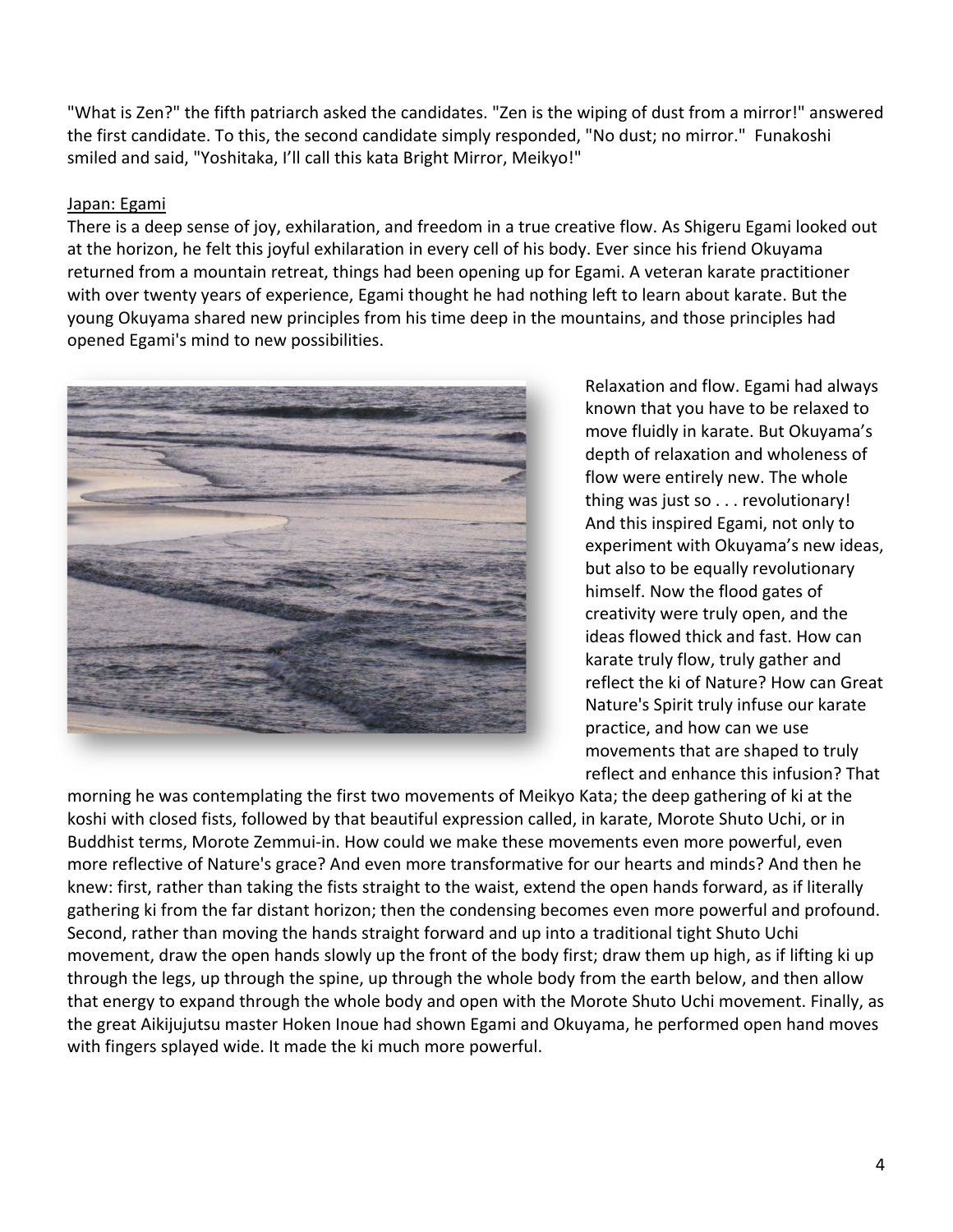"What is Zen?" the fifth patriarch asked the candidates. "Zen is the wiping of dust from a mirror!" answered the first candidate. To this, the second candidate simply responded, "No dust; no mirror." Funakoshi smiled and said, "Yoshitaka, I'll call this kata Bright Mirror, Meikyo!"

### Japan: Egami

There is a deep sense of joy, exhilaration, and freedom in a true creative flow. As Shigeru Egami looked out at the horizon, he felt this joyful exhilaration in every cell of his body. Ever since his friend Okuyama returned from a mountain retreat, things had been opening up for Egami. A veteran karate practitioner with over twenty years of experience, Egami thought he had nothing left to learn about karate. But the young Okuyama shared new principles from his time deep in the mountains, and those principles had opened Egami's mind to new possibilities.



Relaxation and flow. Egami had always known that you have to be relaxed to move fluidly in karate. But Okuyama's depth of relaxation and wholeness of flow were entirely new. The whole thing was just so  $\dots$  revolutionary! And this inspired Egami, not only to experiment with Okuyama's new ideas, but also to be equally revolutionary himself. Now the flood gates of creativity were truly open, and the ideas flowed thick and fast. How can karate truly flow, truly gather and reflect the ki of Nature? How can Great Nature's Spirit truly infuse our karate practice, and how can we use movements that are shaped to truly reflect and enhance this infusion? That

morning he was contemplating the first two movements of Meikyo Kata; the deep gathering of ki at the koshi with closed fists, followed by that beautiful expression called, in karate, Morote Shuto Uchi, or in Buddhist terms, Morote Zemmui-in. How could we make these movements even more powerful, even more reflective of Nature's grace? And even more transformative for our hearts and minds? And then he knew: first, rather than taking the fists straight to the waist, extend the open hands forward, as if literally gathering ki from the far distant horizon; then the condensing becomes even more powerful and profound. Second, rather than moving the hands straight forward and up into a traditional tight Shuto Uchi movement, draw the open hands slowly up the front of the body first; draw them up high, as if lifting ki up through the legs, up through the spine, up through the whole body from the earth below, and then allow that energy to expand through the whole body and open with the Morote Shuto Uchi movement. Finally, as the great Aikijujutsu master Hoken Inoue had shown Egami and Okuyama, he performed open hand moves with fingers splayed wide. It made the ki much more powerful.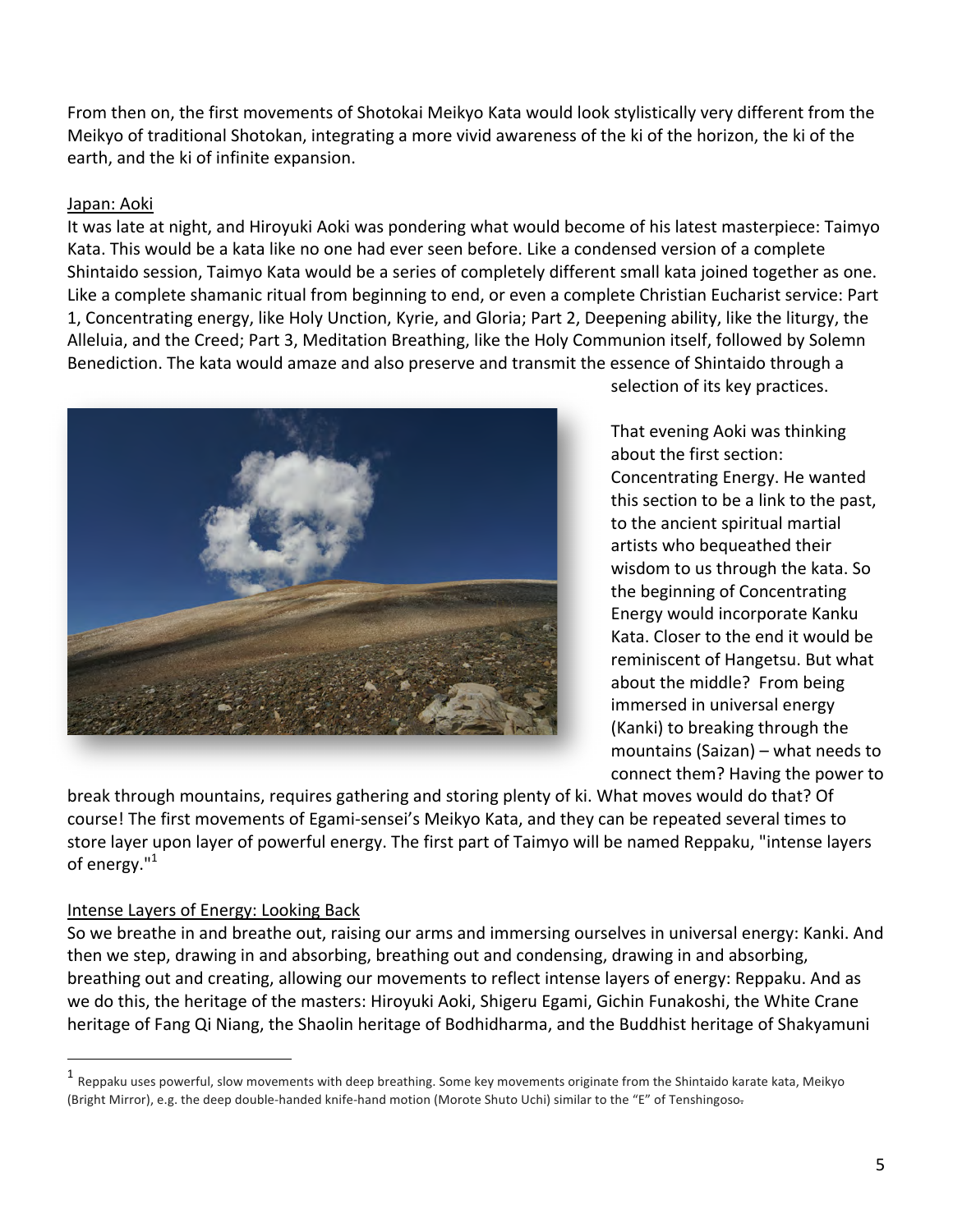From then on, the first movements of Shotokai Meikyo Kata would look stylistically very different from the Meikyo of traditional Shotokan, integrating a more vivid awareness of the ki of the horizon, the ki of the earth, and the ki of infinite expansion.

## Japan: Aoki

It was late at night, and Hiroyuki Aoki was pondering what would become of his latest masterpiece: Taimyo Kata. This would be a kata like no one had ever seen before. Like a condensed version of a complete Shintaido session, Taimyo Kata would be a series of completely different small kata joined together as one. Like a complete shamanic ritual from beginning to end, or even a complete Christian Eucharist service: Part 1, Concentrating energy, like Holy Unction, Kyrie, and Gloria; Part 2, Deepening ability, like the liturgy, the Alleluia, and the Creed; Part 3, Meditation Breathing, like the Holy Communion itself, followed by Solemn Benediction. The kata would amaze and also preserve and transmit the essence of Shintaido through a



selection of its key practices.

That evening Aoki was thinking about the first section: Concentrating Energy. He wanted this section to be a link to the past, to the ancient spiritual martial artists who bequeathed their wisdom to us through the kata. So the beginning of Concentrating Energy would incorporate Kanku Kata. Closer to the end it would be reminiscent of Hangetsu. But what about the middle? From being immersed in universal energy (Kanki) to breaking through the mountains  $(Saizan)$  – what needs to connect them? Having the power to

break through mountains, requires gathering and storing plenty of ki. What moves would do that? Of course! The first movements of Egami-sensei's Meikyo Kata, and they can be repeated several times to store layer upon layer of powerful energy. The first part of Taimyo will be named Reppaku, "intense layers of energy."<sup>1</sup>

## Intense Layers of Energy: Looking Back

 

So we breathe in and breathe out, raising our arms and immersing ourselves in universal energy: Kanki. And then we step, drawing in and absorbing, breathing out and condensing, drawing in and absorbing, breathing out and creating, allowing our movements to reflect intense layers of energy: Reppaku. And as we do this, the heritage of the masters: Hiroyuki Aoki, Shigeru Egami, Gichin Funakoshi, the White Crane heritage of Fang Qi Niang, the Shaolin heritage of Bodhidharma, and the Buddhist heritage of Shakyamuni

 $<sup>1</sup>$  Reppaku uses powerful, slow movements with deep breathing. Some key movements originate from the Shintaido karate kata, Meikyo</sup> (Bright Mirror), e.g. the deep double-handed knife-hand motion (Morote Shuto Uchi) similar to the "E" of Tenshingoso-